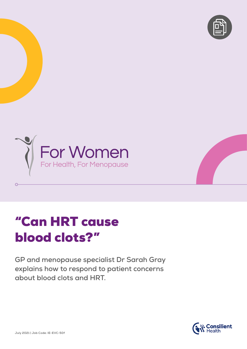



# "Can HRT cause blood clots?"

**GP and menopause specialist Dr Sarah Gray explains how to respond to patient concerns about blood clots and HRT.**



 $\overline{O}$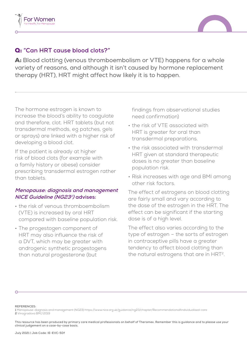



## Q: **"Can HRT cause blood clots?"**

A: Blood clotting (venous thromboembolism or VTE) happens for a whole variety of reasons, and although it isn't caused by hormone replacement therapy (HRT), HRT might affect how likely it is to happen.

The hormone estrogen is known to increase the blood's ability to coagulate and therefore, clot. HRT tablets (but not transdermal methods, eg patches, gels or sprays) are linked with a higher risk of developing a blood clot.

If the patient is already at higher risk of blood clots (for example with a family history or obese) consider prescribing transdermal estrogen rather than tablets.

### **Menopause: diagnosis and management NICE Guideline (NG23<sup>1</sup> ) advises:**

- the risk of venous thromboembolism (VTE) is increased by oral HRT compared with baseline population risk.
- The progestogen component of HRT may also influence the risk of a DVT, which may be greater with androgenic synthetic progestogens than natural progesterone (but

findings from observational studies need confirmation)

- the risk of VTE associated with HRT is greater for oral than transdermal preparations.
- the risk associated with transdermal HRT given at standard therapeutic doses is no greater than baseline population risk.
- Risk increases with age and BMI among other risk factors.

The effect of estrogens on blood clotting are fairly small and vary according to the dose of the estrogen in the HRT. The effect can be significant if the starting dose is of a high level.

The effect also varies according to the type of estrogen – the sorts of estrogen in contraceptive pills have a greater tendency to affect blood clotting than the natural estrogens that are in HRT<sup>2</sup>.

#### **REFERENCES:**

**1** Menopause: diagnosis and management (NG23) https://www.nice.org.uk/guidance/ng23/chapter/Recommendations#individualised-care **2** Vinogradova BMJ 2019

**This resource has been produced by primary care medical professionals on behalf of Theramex. Remember this is guidance and to please use your clinical judgement on a case-by-case basis.**